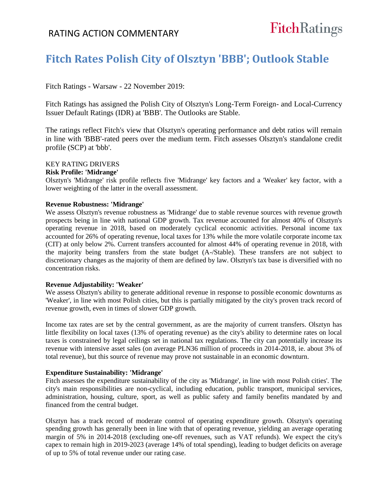## **Fitch Rates Polish City of Olsztyn 'BBB'; Outlook Stable**

Fitch Ratings - Warsaw - 22 November 2019:

Fitch Ratings has assigned the Polish City of Olsztyn's Long-Term Foreign- and Local-Currency Issuer Default Ratings (IDR) at 'BBB'. The Outlooks are Stable.

The ratings reflect Fitch's view that Olsztyn's operating performance and debt ratios will remain in line with 'BBB'-rated peers over the medium term. Fitch assesses Olsztyn's standalone credit profile (SCP) at 'bbb'.

#### KEY RATING DRIVERS

#### **Risk Profile: 'Midrange'**

Olsztyn's 'Midrange' risk profile reflects five 'Midrange' key factors and a 'Weaker' key factor, with a lower weighting of the latter in the overall assessment.

#### **Revenue Robustness: 'Midrange'**

We assess Olsztyn's revenue robustness as 'Midrange' due to stable revenue sources with revenue growth prospects being in line with national GDP growth. Tax revenue accounted for almost 40% of Olsztyn's operating revenue in 2018, based on moderately cyclical economic activities. Personal income tax accounted for 26% of operating revenue, local taxes for 13% while the more volatile corporate income tax (CIT) at only below 2%. Current transfers accounted for almost 44% of operating revenue in 2018, with the majority being transfers from the state budget (A-/Stable). These transfers are not subject to discretionary changes as the majority of them are defined by law. Olsztyn's tax base is diversified with no concentration risks.

#### **Revenue Adjustability: 'Weaker'**

We assess Olsztyn's ability to generate additional revenue in response to possible economic downturns as 'Weaker', in line with most Polish cities, but this is partially mitigated by the city's proven track record of revenue growth, even in times of slower GDP growth.

Income tax rates are set by the central government, as are the majority of current transfers. Olsztyn has little flexibility on local taxes (13% of operating revenue) as the city's ability to determine rates on local taxes is constrained by legal ceilings set in national tax regulations. The city can potentially increase its revenue with intensive asset sales (on average PLN36 million of proceeds in 2014-2018, ie. about 3% of total revenue), but this source of revenue may prove not sustainable in an economic downturn.

#### **Expenditure Sustainability: 'Midrange'**

Fitch assesses the expenditure sustainability of the city as 'Midrange', in line with most Polish cities'. The city's main responsibilities are non-cyclical, including education, public transport, municipal services, administration, housing, culture, sport, as well as public safety and family benefits mandated by and financed from the central budget.

Olsztyn has a track record of moderate control of operating expenditure growth. Olsztyn's operating spending growth has generally been in line with that of operating revenue, yielding an average operating margin of 5% in 2014-2018 (excluding one-off revenues, such as VAT refunds). We expect the city's capex to remain high in 2019-2023 (average 14% of total spending), leading to budget deficits on average of up to 5% of total revenue under our rating case.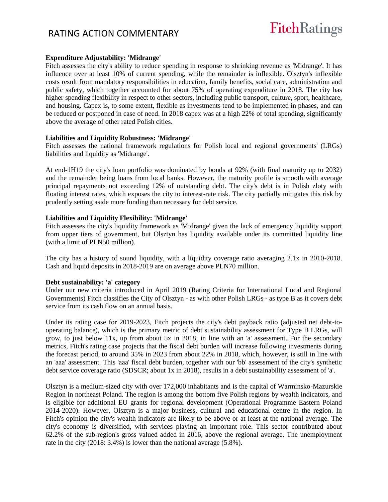

#### **Expenditure Adjustability: 'Midrange'**

Fitch assesses the city's ability to reduce spending in response to shrinking revenue as 'Midrange'. It has influence over at least 10% of current spending, while the remainder is inflexible. Olsztyn's inflexible costs result from mandatory responsibilities in education, family benefits, social care, administration and public safety, which together accounted for about 75% of operating expenditure in 2018. The city has higher spending flexibility in respect to other sectors, including public transport, culture, sport, healthcare, and housing. Capex is, to some extent, flexible as investments tend to be implemented in phases, and can be reduced or postponed in case of need. In 2018 capex was at a high 22% of total spending, significantly above the average of other rated Polish cities.

#### **Liabilities and Liquidity Robustness: 'Midrange'**

Fitch assesses the national framework regulations for Polish local and regional governments' (LRGs) liabilities and liquidity as 'Midrange'.

At end-1H19 the city's loan portfolio was dominated by bonds at 92% (with final maturity up to 2032) and the remainder being loans from local banks. However, the maturity profile is smooth with average principal repayments not exceeding 12% of outstanding debt. The city's debt is in Polish zloty with floating interest rates, which exposes the city to interest-rate risk. The city partially mitigates this risk by prudently setting aside more funding than necessary for debt service.

#### **Liabilities and Liquidity Flexibility: 'Midrange'**

Fitch assesses the city's liquidity framework as 'Midrange' given the lack of emergency liquidity support from upper tiers of government, but Olsztyn has liquidity available under its committed liquidity line (with a limit of PLN50 million).

The city has a history of sound liquidity, with a liquidity coverage ratio averaging 2.1x in 2010-2018. Cash and liquid deposits in 2018-2019 are on average above PLN70 million.

#### **Debt sustainability: 'a' category**

Under our new criteria introduced in April 2019 (Rating Criteria for International Local and Regional Governments) Fitch classifies the City of Olsztyn - as with other Polish LRGs - as type B as it covers debt service from its cash flow on an annual basis.

Under its rating case for 2019-2023, Fitch projects the city's debt payback ratio (adjusted net debt-tooperating balance), which is the primary metric of debt sustainability assessment for Type B LRGs, will grow, to just below 11x, up from about 5x in 2018, in line with an 'a' assessment. For the secondary metrics, Fitch's rating case projects that the fiscal debt burden will increase following investments during the forecast period, to around 35% in 2023 from about 22% in 2018, which, however, is still in line with an 'aaa' assessment. This 'aaa' fiscal debt burden, together with our 'bb' assessment of the city's synthetic debt service coverage ratio (SDSCR; about 1x in 2018), results in a debt sustainability assessment of 'a'.

Olsztyn is a medium-sized city with over 172,000 inhabitants and is the capital of Warminsko-Mazurskie Region in northeast Poland. The region is among the bottom five Polish regions by wealth indicators, and is eligible for additional EU grants for regional development (Operational Programme Eastern Poland 2014-2020). However, Olsztyn is a major business, cultural and educational centre in the region. In Fitch's opinion the city's wealth indicators are likely to be above or at least at the national average. The city's economy is diversified, with services playing an important role. This sector contributed about 62.2% of the sub-region's gross valued added in 2016, above the regional average. The unemployment rate in the city (2018: 3.4%) is lower than the national average (5.8%).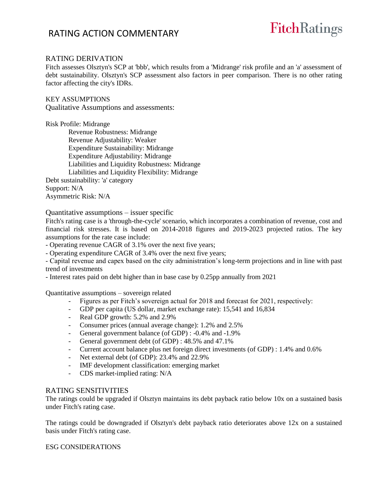

#### RATING DERIVATION

Fitch assesses Olsztyn's SCP at 'bbb', which results from a 'Midrange' risk profile and an 'a' assessment of debt sustainability. Olsztyn's SCP assessment also factors in peer comparison. There is no other rating factor affecting the city's IDRs.

KEY ASSUMPTIONS Qualitative Assumptions and assessments:

Risk Profile: Midrange

Revenue Robustness: Midrange Revenue Adjustability: Weaker Expenditure Sustainability: Midrange Expenditure Adjustability: Midrange Liabilities and Liquidity Robustness: Midrange Liabilities and Liquidity Flexibility: Midrange

Debt sustainability: 'a' category Support: N/A Asymmetric Risk: N/A

Quantitative assumptions – issuer specific

Fitch's rating case is a 'through-the-cycle' scenario, which incorporates a combination of revenue, cost and financial risk stresses. It is based on 2014-2018 figures and 2019-2023 projected ratios. The key assumptions for the rate case include:

- Operating revenue CAGR of 3.1% over the next five years;

- Operating expenditure CAGR of 3.4% over the next five years;

- Capital revenue and capex based on the city administration's long-term projections and in line with past trend of investments

- Interest rates paid on debt higher than in base case by 0.25pp annually from 2021

Quantitative assumptions – sovereign related

- Figures as per Fitch's sovereign actual for 2018 and forecast for 2021, respectively:
- GDP per capita (US dollar, market exchange rate): 15,541 and 16,834
- Real GDP growth: 5.2% and 2.9%
- Consumer prices (annual average change): 1.2% and 2.5%
- General government balance (of GDP) : -0.4% and -1.9%
- General government debt (of GDP) : 48.5% and 47.1%
- Current account balance plus net foreign direct investments (of GDP) : 1.4% and 0.6%
- Net external debt (of GDP): 23.4% and 22.9%
- IMF development classification: emerging market
- CDS market-implied rating: N/A

#### RATING SENSITIVITIES

The ratings could be upgraded if Olsztyn maintains its debt payback ratio below 10x on a sustained basis under Fitch's rating case.

The ratings could be downgraded if Olsztyn's debt payback ratio deteriorates above 12x on a sustained basis under Fitch's rating case.

ESG CONSIDERATIONS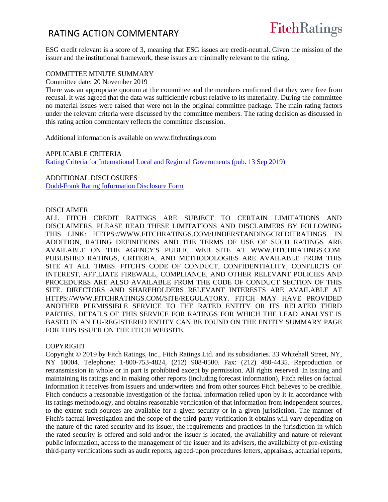

ESG credit relevant is a score of 3, meaning that ESG issues are credit-neutral. Given the mission of the issuer and the institutional framework, these issues are minimally relevant to the rating.

#### COMMITTEE MINUTE SUMMARY

Committee date: 20 November 2019

There was an appropriate quorum at the committee and the members confirmed that they were free from recusal. It was agreed that the data was sufficiently robust relative to its materiality. During the committee no material issues were raised that were not in the original committee package. The main rating factors under the relevant criteria were discussed by the committee members. The rating decision as discussed in this rating action commentary reflects the committee discussion.

Additional information is available on www.fitchratings.com

#### APPLICABLE CRITERIA

[Rating Criteria for International Local and Regional Governments \(pub. 13 Sep 2019\)](https://www.fitchratings.com/site/re/10087140)

ADDITIONAL DISCLOSURES [Dodd-Frank Rating Information Disclosure Form](https://www.fitchratings.com/site/dodd-frank-disclosure/10102086)

#### DISCLAIMER

ALL FITCH CREDIT RATINGS ARE SUBJECT TO CERTAIN LIMITATIONS AND DISCLAIMERS. PLEASE READ THESE LIMITATIONS AND DISCLAIMERS BY FOLLOWING THIS LINK: HTTPS://WWW.FITCHRATINGS.COM/UNDERSTANDINGCREDITRATINGS. IN ADDITION, RATING DEFINITIONS AND THE TERMS OF USE OF SUCH RATINGS ARE AVAILABLE ON THE AGENCY'S PUBLIC WEB SITE AT WWW.FITCHRATINGS.COM. PUBLISHED RATINGS, CRITERIA, AND METHODOLOGIES ARE AVAILABLE FROM THIS SITE AT ALL TIMES. FITCH'S CODE OF CONDUCT, CONFIDENTIALITY, CONFLICTS OF INTEREST, AFFILIATE FIREWALL, COMPLIANCE, AND OTHER RELEVANT POLICIES AND PROCEDURES ARE ALSO AVAILABLE FROM THE CODE OF CONDUCT SECTION OF THIS SITE. DIRECTORS AND SHAREHOLDERS RELEVANT INTERESTS ARE AVAILABLE AT HTTPS://WWW.FITCHRATINGS.COM/SITE/REGULATORY. FITCH MAY HAVE PROVIDED ANOTHER PERMISSIBLE SERVICE TO THE RATED ENTITY OR ITS RELATED THIRD PARTIES. DETAILS OF THIS SERVICE FOR RATINGS FOR WHICH THE LEAD ANALYST IS BASED IN AN EU-REGISTERED ENTITY CAN BE FOUND ON THE ENTITY SUMMARY PAGE FOR THIS ISSUER ON THE FITCH WEBSITE.

#### COPYRIGHT

Copyright © 2019 by Fitch Ratings, Inc., Fitch Ratings Ltd. and its subsidiaries. 33 Whitehall Street, NY, NY 10004. Telephone: 1-800-753-4824, (212) 908-0500. Fax: (212) 480-4435. Reproduction or retransmission in whole or in part is prohibited except by permission. All rights reserved. In issuing and maintaining its ratings and in making other reports (including forecast information), Fitch relies on factual information it receives from issuers and underwriters and from other sources Fitch believes to be credible. Fitch conducts a reasonable investigation of the factual information relied upon by it in accordance with its ratings methodology, and obtains reasonable verification of that information from independent sources, to the extent such sources are available for a given security or in a given jurisdiction. The manner of Fitch's factual investigation and the scope of the third-party verification it obtains will vary depending on the nature of the rated security and its issuer, the requirements and practices in the jurisdiction in which the rated security is offered and sold and/or the issuer is located, the availability and nature of relevant public information, access to the management of the issuer and its advisers, the availability of pre-existing third-party verifications such as audit reports, agreed-upon procedures letters, appraisals, actuarial reports,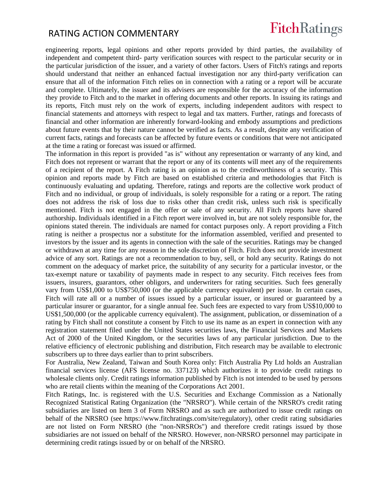# **FitchRatings**

engineering reports, legal opinions and other reports provided by third parties, the availability of independent and competent third- party verification sources with respect to the particular security or in the particular jurisdiction of the issuer, and a variety of other factors. Users of Fitch's ratings and reports should understand that neither an enhanced factual investigation nor any third-party verification can ensure that all of the information Fitch relies on in connection with a rating or a report will be accurate and complete. Ultimately, the issuer and its advisers are responsible for the accuracy of the information they provide to Fitch and to the market in offering documents and other reports. In issuing its ratings and its reports, Fitch must rely on the work of experts, including independent auditors with respect to financial statements and attorneys with respect to legal and tax matters. Further, ratings and forecasts of financial and other information are inherently forward-looking and embody assumptions and predictions about future events that by their nature cannot be verified as facts. As a result, despite any verification of current facts, ratings and forecasts can be affected by future events or conditions that were not anticipated at the time a rating or forecast was issued or affirmed.

The information in this report is provided "as is" without any representation or warranty of any kind, and Fitch does not represent or warrant that the report or any of its contents will meet any of the requirements of a recipient of the report. A Fitch rating is an opinion as to the creditworthiness of a security. This opinion and reports made by Fitch are based on established criteria and methodologies that Fitch is continuously evaluating and updating. Therefore, ratings and reports are the collective work product of Fitch and no individual, or group of individuals, is solely responsible for a rating or a report. The rating does not address the risk of loss due to risks other than credit risk, unless such risk is specifically mentioned. Fitch is not engaged in the offer or sale of any security. All Fitch reports have shared authorship. Individuals identified in a Fitch report were involved in, but are not solely responsible for, the opinions stated therein. The individuals are named for contact purposes only. A report providing a Fitch rating is neither a prospectus nor a substitute for the information assembled, verified and presented to investors by the issuer and its agents in connection with the sale of the securities. Ratings may be changed or withdrawn at any time for any reason in the sole discretion of Fitch. Fitch does not provide investment advice of any sort. Ratings are not a recommendation to buy, sell, or hold any security. Ratings do not comment on the adequacy of market price, the suitability of any security for a particular investor, or the tax-exempt nature or taxability of payments made in respect to any security. Fitch receives fees from issuers, insurers, guarantors, other obligors, and underwriters for rating securities. Such fees generally vary from US\$1,000 to US\$750,000 (or the applicable currency equivalent) per issue. In certain cases, Fitch will rate all or a number of issues issued by a particular issuer, or insured or guaranteed by a particular insurer or guarantor, for a single annual fee. Such fees are expected to vary from US\$10,000 to US\$1,500,000 (or the applicable currency equivalent). The assignment, publication, or dissemination of a rating by Fitch shall not constitute a consent by Fitch to use its name as an expert in connection with any registration statement filed under the United States securities laws, the Financial Services and Markets Act of 2000 of the United Kingdom, or the securities laws of any particular jurisdiction. Due to the relative efficiency of electronic publishing and distribution, Fitch research may be available to electronic subscribers up to three days earlier than to print subscribers.

For Australia, New Zealand, Taiwan and South Korea only: Fitch Australia Pty Ltd holds an Australian financial services license (AFS license no. 337123) which authorizes it to provide credit ratings to wholesale clients only. Credit ratings information published by Fitch is not intended to be used by persons who are retail clients within the meaning of the Corporations Act 2001.

Fitch Ratings, Inc. is registered with the U.S. Securities and Exchange Commission as a Nationally Recognized Statistical Rating Organization (the "NRSRO"). While certain of the NRSRO's credit rating subsidiaries are listed on Item 3 of Form NRSRO and as such are authorized to issue credit ratings on behalf of the NRSRO (see https://www.fitchratings.com/site/regulatory), other credit rating subsidiaries are not listed on Form NRSRO (the "non-NRSROs") and therefore credit ratings issued by those subsidiaries are not issued on behalf of the NRSRO. However, non-NRSRO personnel may participate in determining credit ratings issued by or on behalf of the NRSRO.